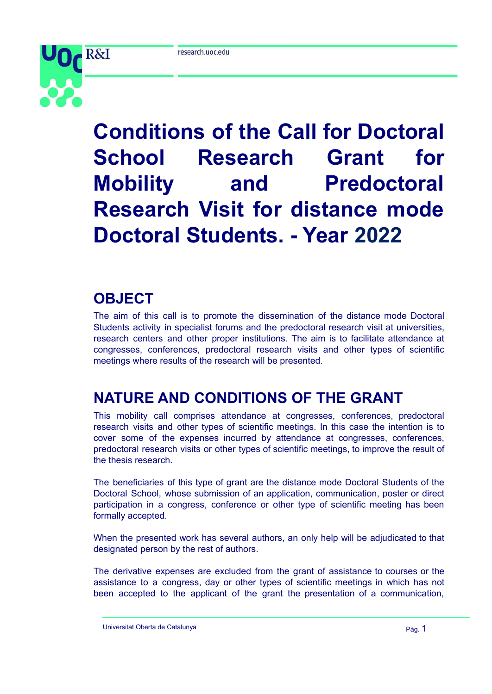

# **Conditions of the Call for Doctoral School Research Grant for Mobility and Predoctoral Research Visit for distance mode Doctoral Students. - Year 2022**

## **OBJECT**

The aim of this call is to promote the dissemination of the distance mode Doctoral Students activity in specialist forums and the predoctoral research visit at universities, research centers and other proper institutions. The aim is to facilitate attendance at congresses, conferences, predoctoral research visits and other types of scientific meetings where results of the research will be presented.

# **NATURE AND CONDITIONS OF THE GRANT**

This mobility call comprises attendance at congresses, conferences, predoctoral research visits and other types of scientific meetings. In this case the intention is to cover some of the expenses incurred by attendance at congresses, conferences, predoctoral research visits or other types of scientific meetings, to improve the result of the thesis research.

The beneficiaries of this type of grant are the distance mode Doctoral Students of the Doctoral School, whose submission of an application, communication, poster or direct participation in a congress, conference or other type of scientific meeting has been formally accepted.

When the presented work has several authors, an only help will be adjudicated to that designated person by the rest of authors.

The derivative expenses are excluded from the grant of assistance to courses or the assistance to a congress, day or other types of scientific meetings in which has not been accepted to the applicant of the grant the presentation of a communication,

Universitat Oberta de Catalunya **Pàg. 1** a compositor e a paga a paga a paga a paga a paga a paga a paga a paga a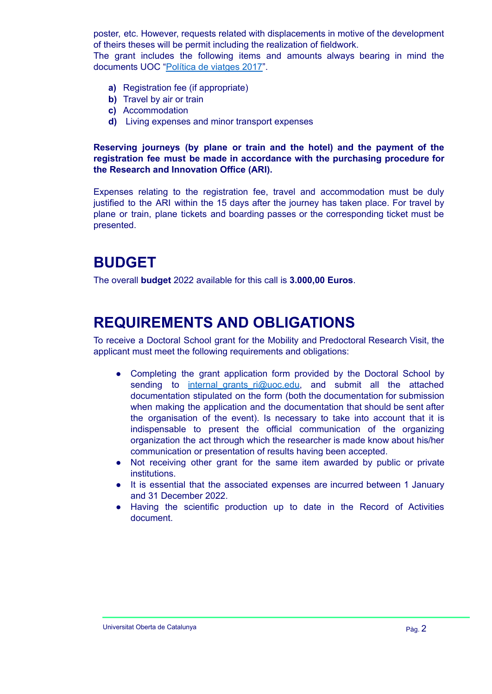poster, etc. However, requests related with displacements in motive of the development of theirs theses will be permit including the realization of fieldwork.

The grant includes the following items and amounts always bearing in mind the documents UOC ["Política](http://cv.uoc.edu/webapps/intrauoc2/documents/10530/247815/Pol%C3%ADtica+de+viatges+2017/e93d12cb-b4c7-4068-9e92-58101070e27e?redirect=http%3A%2F%2Fcv.uoc.edu%2Fwebapps%2Fintrauoc2%2Fen_GB%2Fgroup%2Fintrauoc%2Finterior%3Fp_p_id%3D175_INSTANCE_XytVkPhnH1H4%26p_p_lifecycle%3D0%26p_p_state%3Dnormal%26p_p_mode%3Dview%26p_p_col_id%3Dcolumn-3%26p_p_col_pos%3D2%26p_p_col_count%3D4) de viatges 2017".

- **a)** Registration fee (if appropriate)
- **b)** Travel by air or train
- **c)** Accommodation
- **d)** Living expenses and minor transport expenses

**Reserving journeys (by plane or train and the hotel) and the payment of the registration fee must be made in accordance with the purchasing procedure for the Research and Innovation Office (ARI).**

Expenses relating to the registration fee, travel and accommodation must be duly justified to the ARI within the 15 days after the journey has taken place. For travel by plane or train, plane tickets and boarding passes or the corresponding ticket must be presented.

## **BUDGET**

The overall **budget** 2022 available for this call is **3.000,00 Euros**.

#### **REQUIREMENTS AND OBLIGATIONS**

To receive a Doctoral School grant for the Mobility and Predoctoral Research Visit, the applicant must meet the following requirements and obligations:

- **●** Completing the grant application form provided by the Doctoral School by sending to [internal\\_grants\\_ri@uoc.edu,](mailto:internal_grants_ri@uoc.edu) and submit all the attached documentation stipulated on the form (both the documentation for submission when making the application and the documentation that should be sent after the organisation of the event). Is necessary to take into account that it is indispensable to present the official communication of the organizing organization the act through which the researcher is made know about his/her communication or presentation of results having been accepted.
- **●** Not receiving other grant for the same item awarded by public or private institutions.
- **●** It is essential that the associated expenses are incurred between 1 January and 31 December 2022.
- **●** Having the scientific production up to date in the Record of Activities document.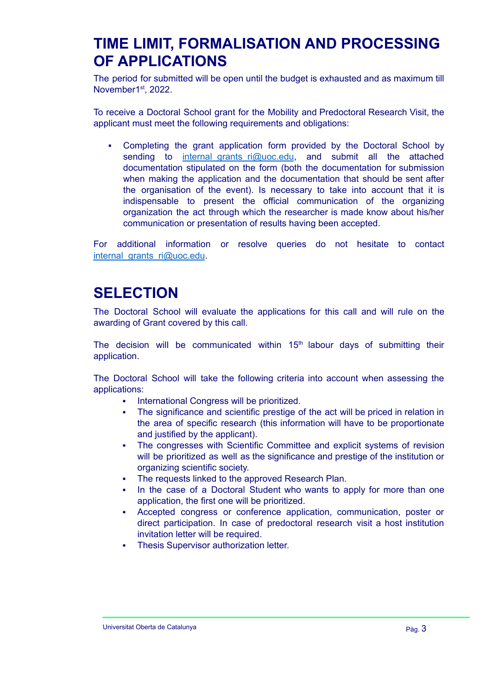## **TIME LIMIT, FORMALISATION AND PROCESSING OF APPLICATIONS**

The period for submitted will be open until the budget is exhausted and as maximum till November1<sup>st</sup>, 2022.

To receive a Doctoral School grant for the Mobility and Predoctoral Research Visit, the applicant must meet the following requirements and obligations:

▪ Completing the grant application form provided by the Doctoral School by sending to [internal\\_grants\\_ri@uoc.edu](mailto:internal_grants_ri@uoc.edu), and submit all the attached documentation stipulated on the form (both the documentation for submission when making the application and the documentation that should be sent after the organisation of the event). Is necessary to take into account that it is indispensable to present the official communication of the organizing organization the act through which the researcher is made know about his/her communication or presentation of results having been accepted.

For additional information or resolve queries do not hesitate to contact internal grants ri@uoc.edu.

# **SELECTION**

The Doctoral School will evaluate the applications for this call and will rule on the awarding of Grant covered by this call.

The decision will be communicated within 15<sup>th</sup> labour days of submitting their application.

The Doctoral School will take the following criteria into account when assessing the applications:

- International Congress will be prioritized.
- The significance and scientific prestige of the act will be priced in relation in the area of specific research (this information will have to be proportionate and justified by the applicant).
- The congresses with Scientific Committee and explicit systems of revision will be prioritized as well as the significance and prestige of the institution or organizing scientific society.
- The requests linked to the approved Research Plan.
- In the case of a Doctoral Student who wants to apply for more than one application, the first one will be prioritized.
- Accepted congress or conference application, communication, poster or direct participation. In case of predoctoral research visit a host institution invitation letter will be required.
- **Thesis Supervisor authorization letter.**